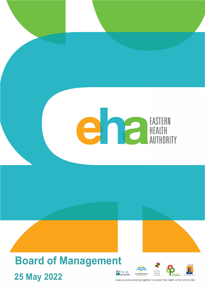# EAUTHORITY

# **Board of Management P**City of **25 May 2022**





local councils working together to protect the health of the community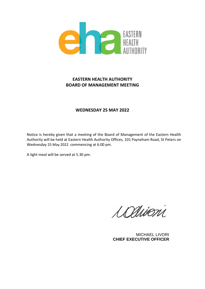

## **EASTERN HEALTH AUTHORITY BOARD OF MANAGEMENT MEETING**

## **WEDNESDAY 25 MAY 2022**

Notice is hereby given that a meeting of the Board of Management of the Eastern Health Authority will be held at Eastern Health Authority Offices, 101 Payneham Road, St Peters on Wednesday 25 May 2022 commencing at 6.00 pm.

A light meal will be served at 5.30 pm.

Ladisoni

MICHAEL LIVORI **CHIEF EXECUTIVE OFFICER**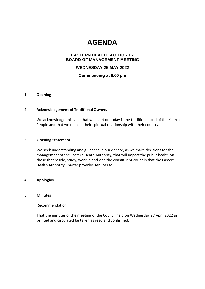# **AGENDA**

#### **EASTERN HEALTH AUTHORITY BOARD OF MANAGEMENT MEETING**

#### **WEDNESDAY 25 MAY 2022**

#### **Commencing at 6.00 pm**

#### **1 Opening**

#### **2 Acknowledgement of Traditional Owners**

We acknowledge this land that we meet on today is the traditional land of the Kaurna People and that we respect their spiritual relationship with their country.

#### **3 Opening Statement**

We seek understanding and guidance in our debate, as we make decisions for the management of the Eastern Heath Authority, that will impact the public health on those that reside, study, work in and visit the constituent councils that the Eastern Health Authority Charter provides services to.

#### **4 Apologies**

#### **5 Minutes**

Recommendation

That the minutes of the meeting of the Council held on Wednesday 27 April 2022 as printed and circulated be taken as read and confirmed.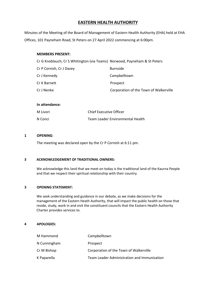## **EASTERN HEALTH AUTHORITY**

Minutes of the Meeting of the Board of Management of Eastern Health Authority (EHA) held at EHA Offices, 101 Payneham Road, St Peters on 27 April 2022 commencing at 6:00pm.

#### **MEMBERS PRESENT:**

| Cr G Knoblauch, Cr S Whitington (via Teams) Norwood, Payneham & St Peters |                                        |
|---------------------------------------------------------------------------|----------------------------------------|
| Cr P Cornish, Cr J Davey                                                  | <b>Burnside</b>                        |
| Cr J Kennedy                                                              | Campbelltown                           |
| Cr K Barnett                                                              | Prospect                               |
| Cr J Nenke                                                                | Corporation of the Town of Walkerville |

#### **In attendance:**

| M Livori | <b>Chief Executive Officer</b>   |
|----------|----------------------------------|
| N Conci  | Team Leader Environmental Health |

#### **1 OPENING**:

The meeting was declared open by the Cr P Cornish at 6:11 pm.

#### **3 ACKNOWLEDGEMENT OF TRADITIONAL OWNERS:**

We acknowledge this land that we meet on today is the traditional land of the Kaurna People and that we respect their spiritual relationship with their country.

#### **3 OPENING STATEMENT:**

We seek understanding and guidance in our debate, as we make decisions for the management of the Eastern Heath Authority, that will impact the public health on those that reside, study, work in and visit the constituent councils that the Eastern Health Authority Charter provides services to.

#### **4 APOLOGIES:**

| M Hammond    | Campbelltown                                |
|--------------|---------------------------------------------|
| N Cunningham | Prospect                                    |
| Cr M Bishop  | Corporation of the Town of Walkerville      |
| K Paparella  | Team Leader Administration and Immunisation |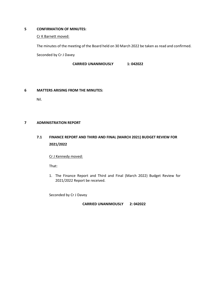#### **5 CONFIRMATION OF MINUTES:**

#### Cr K Barnett moved:

The minutes of the meeting of the Board held on 30 March 2022 be taken as read and confirmed. Seconded by Cr J Davey

**CARRIED UNANIMOUSLY 1: 042022** 

#### **6 MATTERS ARISING FROM THE MINUTES:**

Nil.

#### **7 ADMINISTRATION REPORT**

## **7.1 FINANCE REPORT AND THIRD AND FINAL (MARCH 2021) BUDGET REVIEW FOR 2021/2022**

Cr J Kennedy moved:

That:

1. The Finance Report and Third and Final (March 2022) Budget Review for 2021/2022 Report be received.

Seconded by Cr J Davey

**CARRIED UNANIMOUSLY 2: 042022**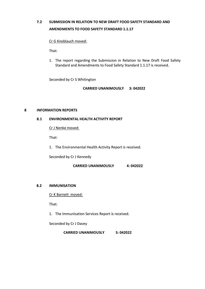# **7.2 SUBMISSION IN RELATION TO NEW DRAFT FOOD SAFETY STANDARD AND AMENDMENTS TO FOOD SAFETY STANDARD 1.1.17**

#### Cr G Knoblauch moved:

That:

1. The report regarding the Submission in Relation to New Draft Food Safety Standard and Amendments to Food Safety Standard 1.1.17 is received.

Seconded by Cr S Whitington

**CARRIED UNANIMOUSLY 3: 042022** 

#### **8 INFORMATION REPORTS**

#### **8.1 ENVIRONMENTAL HEALTH ACTIVITY REPORT**

Cr J Nenke moved:

That:

1. The Environmental Health Activity Report is received.

Seconded by Cr J Kennedy

**CARRIED UNANIMOUSLY 4: 042022** 

#### **8.2 IMMUNISATION**

Cr K Barnett moved:

That:

1. The Immunisation Services Report is received.

Seconded by Cr J Davey

 **CARRIED UNANIMOUSLY 5: 042022**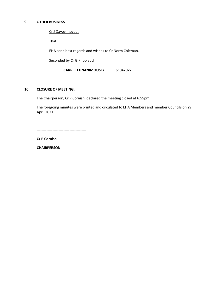#### **9 OTHER BUSINESS**

Cr J Davey moved:

That:

EHA send best regards and wishes to Cr Norm Coleman.

Seconded by Cr G Knoblauch

 **CARRIED UNANIMOUSLY 6: 042022** 

#### **10 CLOSURE OF MEETING:**

The Chairperson, Cr P Cornish, declared the meeting closed at 6:55pm.

The foregoing minutes were printed and circulated to EHA Members and member Councils on 29 April 2021.

-----------------------------------------

**Cr P Cornish** 

**CHAIRPERSON**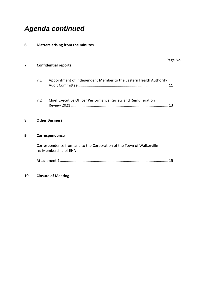# *Agenda continued*

### **6 Matters arising from the minutes**

| 7 | <b>Confidential reports</b>                                                                    |                                                                   |  |
|---|------------------------------------------------------------------------------------------------|-------------------------------------------------------------------|--|
|   | 7.1                                                                                            | Appointment of Independent Member to the Eastern Health Authority |  |
|   | 7.2                                                                                            | Chief Executive Officer Performance Review and Remuneration       |  |
| 8 |                                                                                                | <b>Other Business</b>                                             |  |
| 9 |                                                                                                | Correspondence                                                    |  |
|   | Correspondence from and to the Corporation of the Town of Walkerville<br>re: Membership of EHA |                                                                   |  |
|   |                                                                                                |                                                                   |  |
|   |                                                                                                |                                                                   |  |

# **10 Closure of Meeting**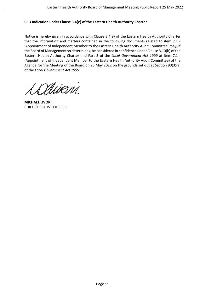#### **CEO Indication under Clause 3.4(e) of the Eastern Health Authority Charter**

Notice is hereby given in accordance with Clause 3.4(e) of the Eastern Health Authority Charter that the information and matters contained in the following documents related to item 7.1 - 'Appointment of Independent Member to the Eastern Health Authority Audit Committee' may, if the Board of Management so determines, be considered in confidence under Clause 3.10(b) of the Eastern Health Authority Charter and Part 3 of the *Local Government Act 1999* at item 7.1 - (Appointment of Independent Member to the Eastern Health Authority Audit Committee) of the Agenda for the Meeting of the Board on 25 May 2022 on the grounds set out at Section 90(3)(a) of the *Local Government Act 1999*.

Mioni

**MICHAEL LIVORI**  CHIEF EXECUTIVE OFFICER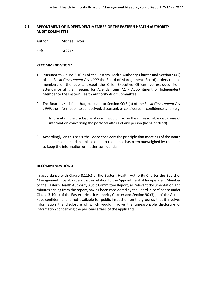#### **7.1 APPONTMENT OF INDEPENDENT MEMBER OF THE EASTERN HEALTH AUTHORITY AUDIT COMMITTEE**

Author: Michael Livori

Ref: AF22/7

#### **RECOMMENDATION 1**

- 1. Pursuant to Clause 3.10(b) of the Eastern Health Authority Charter and Section 90(2) of the *Local Government Act 1999* the Board of Management (Board) orders that all members of the public, except the Chief Executive Officer, be excluded from attendance at the meeting for Agenda Item 7.1 - Appointment of Independent Member to the Eastern Health Authority Audit Committee.
- 2. The Board is satisfied that, pursuant to Section 90(3)(a) of the *Local Government Act 1999*, the information to be received, discussed, or considered in confidence is namely:

Information the disclosure of which would involve the unreasonable disclosure of information concerning the personal affairs of any person (living or dead).

3. Accordingly, on this basis, the Board considers the principle that meetings of the Board should be conducted in a place open to the public has been outweighed by the need to keep the information or matter confidential.

#### **RECOMMENDATION 3**

In accordance with Clause 3.11(c) of the Eastern Health Authority Charter the Board of Management (Board) orders that in relation to the Appointment of Independent Member to the Eastern Health Authority Audit Committee Report, all relevant documentation and minutes arising from the report, having been considered by the Board in confidence under Clause 3.10(b) of the Eastern Health Authority Charter and Section 90 (3)(a) of the Act be kept confidential and not available for public inspection on the grounds that it involves information the disclosure of which would involve the unreasonable disclosure of information concerning the personal affairs of the applicants.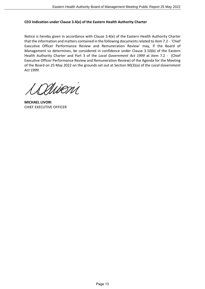#### **CEO Indication under Clause 3.4(e) of the Eastern Health Authority Charter**

Notice is hereby given in accordance with Clause 3.4(e) of the Eastern Health Authority Charter that the information and matters contained in the following documents related to item 7.2 - 'Chief Executive Officer Performance Review and Remuneration Review' may, if the Board of Management so determines, be considered in confidence under Clause 3.10(b) of the Eastern Health Authority Charter and Part 3 of the *Local Government Act 1999* at item 7.2 - (Chief Executive Officer Performance Review and Remuneration Review) of the Agenda for the Meeting of the Board on 25 May 2022 on the grounds set out at Section 90(3)(a) of the *Local Government Act 1999*.

Mioni

**MICHAEL LIVORI**  CHIEF EXECUTIVE OFFICER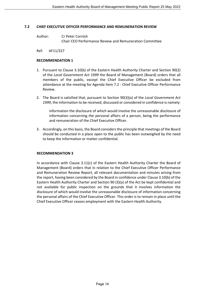#### **7.2 CHIEF EXECUTIVE OFFICER PERFORMANCE AND REMUNERATION REVIEW**

- Author: Cr Peter Cornish Chair CEO Performance Review and Remuneration Committee
- Ref: AF11/327

#### **RECOMMENDATION 1**

- 1. Pursuant to Clause 3.10(b) of the Eastern Health Authority Charter and Section 90(2) of the *Local Government Act 1999* the Board of Management (Board) orders that all members of the public, except the Chief Executive Officer be excluded from attendance at the meeting for Agenda Item 7.2 - Chief Executive Officer Performance Review.
- 2. The Board is satisfied that, pursuant to Section 90(3)(a) of the *Local Government Act 1999*, the information to be received, discussed or considered in confidence is namely:

information the disclosure of which would involve the unreasonable disclosure of information concerning the personal affairs of a person, being the performance and remuneration of the Chief Executive Officer.

3. Accordingly, on this basis, the Board considers the principle that meetings of the Board should be conducted in a place open to the public has been outweighed by the need to keep the information or matter confidential.

#### **RECOMMENDATION 3**

In accordance with Clause 3.11(c) of the Eastern Health Authority Charter the Board of Management (Board) orders that in relation to the Chief Executive Officer Performance and Remuneration Review Report, all relevant documentation and minutes arising from the report, having been considered by the Board in confidence under Clause 3.10(b) of the Eastern Health Authority Charter and Section 90 (3)(a) of the Act be kept confidential and not available for public inspection on the grounds that it involves information the disclosure of which would involve the unreasonable disclosure of information concerning the personal affairs of the Chief Executive Officer. This order is to remain in place until the Chief Executive Officer ceases employment with the Eastern Health Authority.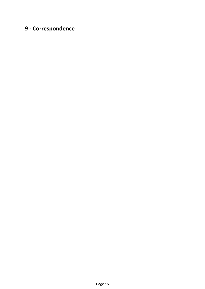# **9 - Correspondence**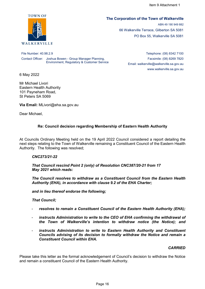

#### **The Corporation of the Town of Walkerville**

ABN 49 190 949 882 66 Walkerville Terrace, Gilberton SA 5081 PO Box 55, Walkerville SA 5081

File Number: 40.98.2.9 Contact Officer: Joshua Bowen - Group Manager Planning, Environment, Regulatory & Customer Service

Telephone: (08) 8342 7100 Facsimile: (08) 8269 7820 Email: walkerville@walkerville.sa.gov.au www.walkerville.sa.gov.au

6 May 2022

Mr Michael Livori Eastern Health Authority 101 Payneham Road, St Peters SA 5069

**Via Email:** MLivori@eha.sa.gov.au

Dear Michael,

#### **Re: Council decision regarding Membership of Eastern Health Authority**

At Councils Ordinary Meeting held on the 19 April 2022 Council considered a report detailing the next steps relating to the Town of Walkerville remaining a Constituent Council of the Eastern Health Authority. The following was resolved;

#### *CNC273/21-22*

*That Council rescind Point 2 (only) of Resolution CNC387/20-21 from 17 May 2021 which reads:*

*The Council resolves to withdraw as a Constituent Council from the Eastern Health Authority (EHA), in accordance with clause 9.2 of the EHA Charter;*

*and in lieu thereof endorse the following;*

*That Council;*

- resolves to remain a Constituent Council of the Eastern Health Authority (EHA);
- instructs Administration to write to the CEO of EHA confirming the withdrawal of *the Town of Walkerville's intention to withdraw notice (the Notice); and*
- instructs Administration to write to Eastern Health Authority and Constituent *Councils advising of its decision to formally withdraw the Notice and remain a Constituent Council within EHA.*

#### *CARRIED*

Please take this letter as the formal acknowledgement of Council's decision to withdraw the Notice and remain a constituent Council of the Eastern Health Authority.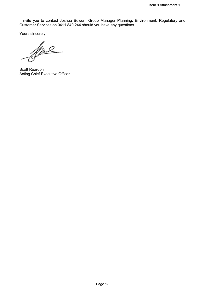I invite you to contact Joshua Bowen, Group Manager Planning, Environment, Regulatory and Customer Services on 0411 840 244 should you have any questions.

Yours sincerely<br>After

Scott Reardon Acting Chief Executive Officer